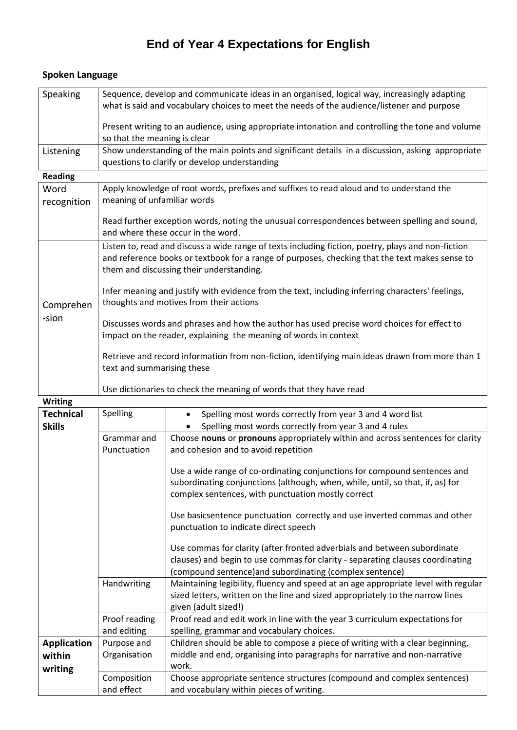## **End of Year 4 Expectations for English**

| Speaking                      | Sequence, develop and communicate ideas in an organised, logical way, increasingly adapting<br>what is said and vocabulary choices to meet the needs of the audience/listener and purpose                                                        |  |  |  |
|-------------------------------|--------------------------------------------------------------------------------------------------------------------------------------------------------------------------------------------------------------------------------------------------|--|--|--|
|                               | Present writing to an audience, using appropriate intonation and controlling the tone and volume<br>so that the meaning is clear                                                                                                                 |  |  |  |
| Listening                     | Show understanding of the main points and significant details in a discussion, asking appropriate<br>questions to clarify or develop understanding                                                                                               |  |  |  |
| <b>Reading</b>                |                                                                                                                                                                                                                                                  |  |  |  |
| Word<br>recognition           | Apply knowledge of root words, prefixes and suffixes to read aloud and to understand the<br>meaning of unfamiliar words                                                                                                                          |  |  |  |
|                               | Read further exception words, noting the unusual correspondences between spelling and sound,<br>and where these occur in the word.                                                                                                               |  |  |  |
| Comprehen<br>-sion<br>Writing | Listen to, read and discuss a wide range of texts including fiction, poetry, plays and non-fiction<br>and reference books or textbook for a range of purposes, checking that the text makes sense to<br>them and discussing their understanding. |  |  |  |
|                               | Infer meaning and justify with evidence from the text, including inferring characters' feelings,<br>thoughts and motives from their actions                                                                                                      |  |  |  |
|                               | Discusses words and phrases and how the author has used precise word choices for effect to<br>impact on the reader, explaining the meaning of words in context                                                                                   |  |  |  |
|                               | Retrieve and record information from non-fiction, identifying main ideas drawn from more than 1<br>text and summarising these                                                                                                                    |  |  |  |
|                               | Use dictionaries to check the meaning of words that they have read                                                                                                                                                                               |  |  |  |
|                               |                                                                                                                                                                                                                                                  |  |  |  |

## **Spoken Language**

| <b>Writing</b>     |                              |                                                                                                                                                                                                                       |
|--------------------|------------------------------|-----------------------------------------------------------------------------------------------------------------------------------------------------------------------------------------------------------------------|
| <b>Technical</b>   | Spelling                     | Spelling most words correctly from year 3 and 4 word list                                                                                                                                                             |
| <b>Skills</b>      |                              | Spelling most words correctly from year 3 and 4 rules                                                                                                                                                                 |
|                    | Grammar and<br>Punctuation   | Choose nouns or pronouns appropriately within and across sentences for clarity<br>and cohesion and to avoid repetition                                                                                                |
|                    |                              | Use a wide range of co-ordinating conjunctions for compound sentences and<br>subordinating conjunctions (although, when, while, until, so that, if, as) for<br>complex sentences, with punctuation mostly correct     |
|                    |                              | Use basicsentence punctuation correctly and use inverted commas and other<br>punctuation to indicate direct speech                                                                                                    |
|                    |                              | Use commas for clarity (after fronted adverbials and between subordinate<br>clauses) and begin to use commas for clarity - separating clauses coordinating<br>(compound sentence)and subordinating (complex sentence) |
|                    | Handwriting                  | Maintaining legibility, fluency and speed at an age appropriate level with regular<br>sized letters, written on the line and sized appropriately to the narrow lines<br>given (adult sized!)                          |
|                    | Proof reading<br>and editing | Proof read and edit work in line with the year 3 curriculum expectations for<br>spelling, grammar and vocabulary choices.                                                                                             |
| <b>Application</b> | Purpose and                  | Children should be able to compose a piece of writing with a clear beginning,                                                                                                                                         |
| within             | Organisation                 | middle and end, organising into paragraphs for narrative and non-narrative                                                                                                                                            |
| writing            |                              | work.                                                                                                                                                                                                                 |
|                    | Composition<br>and effect    | Choose appropriate sentence structures (compound and complex sentences)<br>and vocabulary within pieces of writing.                                                                                                   |